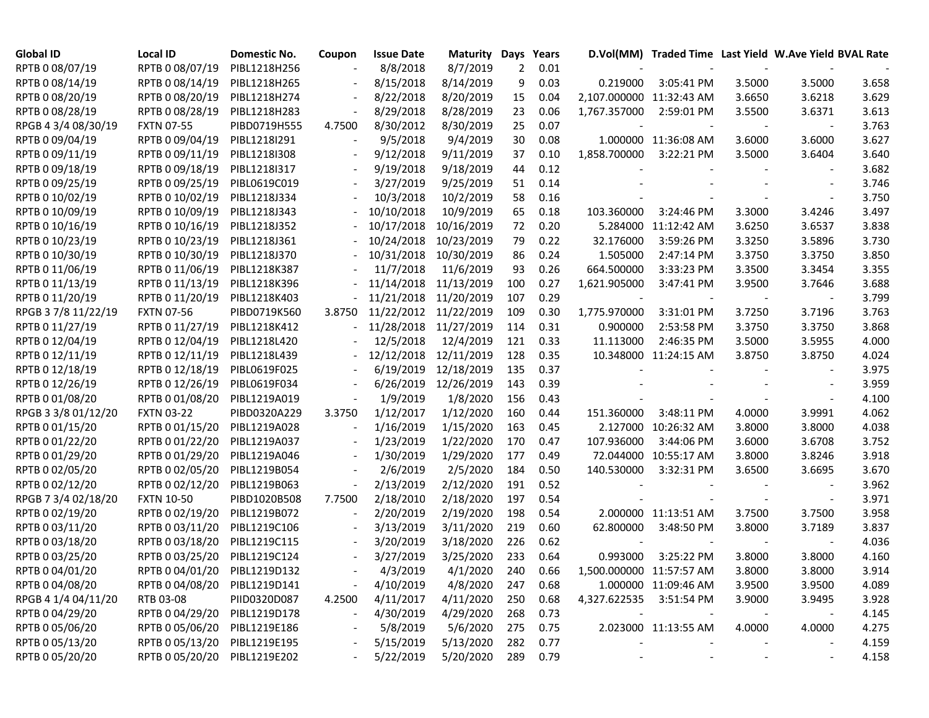| <b>Global ID</b>    | Local ID                     | Domestic No. | Coupon         | <b>Issue Date</b> | Maturity   | Days           | Years    |                          | D.Vol(MM) Traded Time Last Yield W.Ave Yield BVAL Rate |        |        |       |
|---------------------|------------------------------|--------------|----------------|-------------------|------------|----------------|----------|--------------------------|--------------------------------------------------------|--------|--------|-------|
| RPTB 0 08/07/19     | RPTB 0 08/07/19              | PIBL1218H256 |                | 8/8/2018          | 8/7/2019   | $\overline{2}$ | 0.01     |                          |                                                        |        |        |       |
| RPTB 0 08/14/19     | RPTB 0 08/14/19              | PIBL1218H265 |                | 8/15/2018         | 8/14/2019  | 9              | 0.03     | 0.219000                 | 3:05:41 PM                                             | 3.5000 | 3.5000 | 3.658 |
| RPTB 0 08/20/19     | RPTB 0 08/20/19              | PIBL1218H274 |                | 8/22/2018         | 8/20/2019  | 15             | 0.04     | 2,107.000000 11:32:43 AM |                                                        | 3.6650 | 3.6218 | 3.629 |
| RPTB 0 08/28/19     | RPTB 0 08/28/19              | PIBL1218H283 |                | 8/29/2018         | 8/28/2019  | 23             | 0.06     | 1,767.357000             | 2:59:01 PM                                             | 3.5500 | 3.6371 | 3.613 |
| RPGB 4 3/4 08/30/19 | <b>FXTN 07-55</b>            | PIBD0719H555 | 4.7500         | 8/30/2012         | 8/30/2019  | 25             | 0.07     |                          |                                                        |        |        | 3.763 |
| RPTB 0 09/04/19     | RPTB 0 09/04/19              | PIBL1218I291 |                | 9/5/2018          | 9/4/2019   | 30             | 0.08     |                          | 1.000000 11:36:08 AM                                   | 3.6000 | 3.6000 | 3.627 |
| RPTB 0 09/11/19     | RPTB 0 09/11/19              | PIBL1218I308 |                | 9/12/2018         | 9/11/2019  | 37             | 0.10     | 1,858.700000             | 3:22:21 PM                                             | 3.5000 | 3.6404 | 3.640 |
| RPTB 0 09/18/19     | RPTB 0 09/18/19              | PIBL1218I317 |                | 9/19/2018         | 9/18/2019  | 44             | 0.12     |                          |                                                        |        |        | 3.682 |
| RPTB 0 09/25/19     | RPTB 0 09/25/19              | PIBL0619C019 |                | 3/27/2019         | 9/25/2019  | 51             | 0.14     |                          |                                                        |        |        | 3.746 |
| RPTB 0 10/02/19     | RPTB 0 10/02/19              | PIBL1218J334 |                | 10/3/2018         | 10/2/2019  | 58             | 0.16     |                          |                                                        |        |        | 3.750 |
| RPTB 0 10/09/19     | RPTB 0 10/09/19              | PIBL1218J343 |                | 10/10/2018        | 10/9/2019  | 65             | 0.18     | 103.360000               | 3:24:46 PM                                             | 3.3000 | 3.4246 | 3.497 |
| RPTB 0 10/16/19     | RPTB 0 10/16/19              | PIBL1218J352 |                | 10/17/2018        | 10/16/2019 | 72             | 0.20     |                          | 5.284000 11:12:42 AM                                   | 3.6250 | 3.6537 | 3.838 |
| RPTB 0 10/23/19     | RPTB 0 10/23/19              | PIBL1218J361 |                | 10/24/2018        | 10/23/2019 | 79             | 0.22     | 32.176000                | 3:59:26 PM                                             | 3.3250 | 3.5896 | 3.730 |
| RPTB 0 10/30/19     | RPTB 0 10/30/19              | PIBL1218J370 |                | 10/31/2018        | 10/30/2019 | 86             | 0.24     | 1.505000                 | 2:47:14 PM                                             | 3.3750 | 3.3750 | 3.850 |
| RPTB 0 11/06/19     | RPTB 0 11/06/19              | PIBL1218K387 |                | 11/7/2018         | 11/6/2019  | 93             | 0.26     | 664.500000               | 3:33:23 PM                                             | 3.3500 | 3.3454 | 3.355 |
| RPTB 0 11/13/19     | RPTB 0 11/13/19              | PIBL1218K396 |                | 11/14/2018        | 11/13/2019 | 100            | 0.27     | 1,621.905000             | 3:47:41 PM                                             | 3.9500 | 3.7646 | 3.688 |
| RPTB 0 11/20/19     | RPTB 0 11/20/19              | PIBL1218K403 |                | 11/21/2018        | 11/20/2019 | 107            | 0.29     |                          |                                                        |        |        | 3.799 |
| RPGB 37/8 11/22/19  | <b>FXTN 07-56</b>            | PIBD0719K560 | 3.8750         | 11/22/2012        | 11/22/2019 | 109            | 0.30     | 1,775.970000             | 3:31:01 PM                                             | 3.7250 | 3.7196 | 3.763 |
| RPTB 0 11/27/19     | RPTB 0 11/27/19              | PIBL1218K412 |                | 11/28/2018        | 11/27/2019 | 114            | 0.31     | 0.900000                 | 2:53:58 PM                                             | 3.3750 | 3.3750 | 3.868 |
| RPTB 0 12/04/19     | RPTB 0 12/04/19              | PIBL1218L420 |                | 12/5/2018         | 12/4/2019  | 121            | 0.33     | 11.113000                | 2:46:35 PM                                             | 3.5000 | 3.5955 | 4.000 |
| RPTB 0 12/11/19     | RPTB 0 12/11/19              | PIBL1218L439 |                | 12/12/2018        | 12/11/2019 | 128            | 0.35     |                          | 10.348000 11:24:15 AM                                  | 3.8750 | 3.8750 | 4.024 |
| RPTB 0 12/18/19     | RPTB 0 12/18/19              | PIBL0619F025 |                | 6/19/2019         | 12/18/2019 | 135            | 0.37     |                          |                                                        |        |        | 3.975 |
| RPTB 0 12/26/19     | RPTB 0 12/26/19              | PIBL0619F034 |                | 6/26/2019         | 12/26/2019 | 143            | 0.39     |                          |                                                        |        |        | 3.959 |
| RPTB 0 01/08/20     | RPTB 0 01/08/20              | PIBL1219A019 |                | 1/9/2019          | 1/8/2020   | 156            | 0.43     |                          |                                                        |        |        | 4.100 |
| RPGB 3 3/8 01/12/20 | <b>FXTN 03-22</b>            | PIBD0320A229 | 3.3750         | 1/12/2017         | 1/12/2020  | 160            | 0.44     | 151.360000               | 3:48:11 PM                                             | 4.0000 | 3.9991 | 4.062 |
| RPTB 0 01/15/20     | RPTB 0 01/15/20              | PIBL1219A028 |                | 1/16/2019         | 1/15/2020  | 163            | 0.45     |                          | 2.127000 10:26:32 AM                                   | 3.8000 | 3.8000 | 4.038 |
| RPTB 0 01/22/20     | RPTB 0 01/22/20              | PIBL1219A037 |                | 1/23/2019         | 1/22/2020  | 170            | 0.47     | 107.936000               | 3:44:06 PM                                             | 3.6000 | 3.6708 | 3.752 |
| RPTB 0 01/29/20     | RPTB 0 01/29/20              | PIBL1219A046 |                | 1/30/2019         | 1/29/2020  | 177            | 0.49     | 72.044000                | 10:55:17 AM                                            | 3.8000 | 3.8246 | 3.918 |
| RPTB 0 02/05/20     | RPTB 0 02/05/20              | PIBL1219B054 |                | 2/6/2019          | 2/5/2020   | 184            | 0.50     | 140.530000               | 3:32:31 PM                                             | 3.6500 | 3.6695 | 3.670 |
| RPTB 0 02/12/20     | RPTB 0 02/12/20              | PIBL1219B063 |                | 2/13/2019         | 2/12/2020  | 191            | 0.52     |                          |                                                        |        |        | 3.962 |
| RPGB 7 3/4 02/18/20 | <b>FXTN 10-50</b>            | PIBD1020B508 | 7.7500         | 2/18/2010         | 2/18/2020  | 197            | 0.54     |                          |                                                        |        |        | 3.971 |
| RPTB 0 02/19/20     | RPTB 0 02/19/20              | PIBL1219B072 |                | 2/20/2019         | 2/19/2020  | 198            | 0.54     |                          | 2.000000 11:13:51 AM                                   | 3.7500 | 3.7500 | 3.958 |
| RPTB 0 03/11/20     | RPTB 0 03/11/20              | PIBL1219C106 |                | 3/13/2019         | 3/11/2020  | 219            | 0.60     | 62.800000                | 3:48:50 PM                                             | 3.8000 | 3.7189 | 3.837 |
| RPTB 0 03/18/20     | RPTB 0 03/18/20              | PIBL1219C115 |                | 3/20/2019         | 3/18/2020  | 226            | 0.62     |                          |                                                        |        |        | 4.036 |
| RPTB 0 03/25/20     | RPTB 0 03/25/20              | PIBL1219C124 | $\blacksquare$ | 3/27/2019         | 3/25/2020  | 233            | 0.64     | 0.993000                 | 3:25:22 PM                                             | 3.8000 | 3.8000 | 4.160 |
| RPTB 0 04/01/20     | RPTB 0 04/01/20 PIBL1219D132 |              |                | 4/3/2019          | 4/1/2020   | 240            | 0.66     | 1,500.000000 11:57:57 AM |                                                        | 3.8000 | 3.8000 | 3.914 |
| RPTB 0 04/08/20     | RPTB 0 04/08/20 PIBL1219D141 |              |                | 4/10/2019         | 4/8/2020   | 247            | 0.68     |                          | 1.000000 11:09:46 AM                                   | 3.9500 | 3.9500 | 4.089 |
| RPGB 4 1/4 04/11/20 | RTB 03-08                    | PIID0320D087 | 4.2500         | 4/11/2017         | 4/11/2020  | 250            | 0.68     | 4,327.622535 3:51:54 PM  |                                                        | 3.9000 | 3.9495 | 3.928 |
| RPTB 0 04/29/20     | RPTB 0 04/29/20 PIBL1219D178 |              |                | 4/30/2019         | 4/29/2020  | 268            | 0.73     |                          |                                                        |        |        | 4.145 |
| RPTB 0 05/06/20     | RPTB 0 05/06/20              | PIBL1219E186 |                | 5/8/2019          | 5/6/2020   | 275            | 0.75     |                          | 2.023000 11:13:55 AM                                   | 4.0000 | 4.0000 | 4.275 |
| RPTB 0 05/13/20     | RPTB 0 05/13/20              | PIBL1219E195 |                | 5/15/2019         | 5/13/2020  | 282            | 0.77     |                          |                                                        |        |        | 4.159 |
| RPTB 0 05/20/20     | RPTB 0 05/20/20 PIBL1219E202 |              |                | 5/22/2019         | 5/20/2020  |                | 289 0.79 |                          |                                                        |        |        | 4.158 |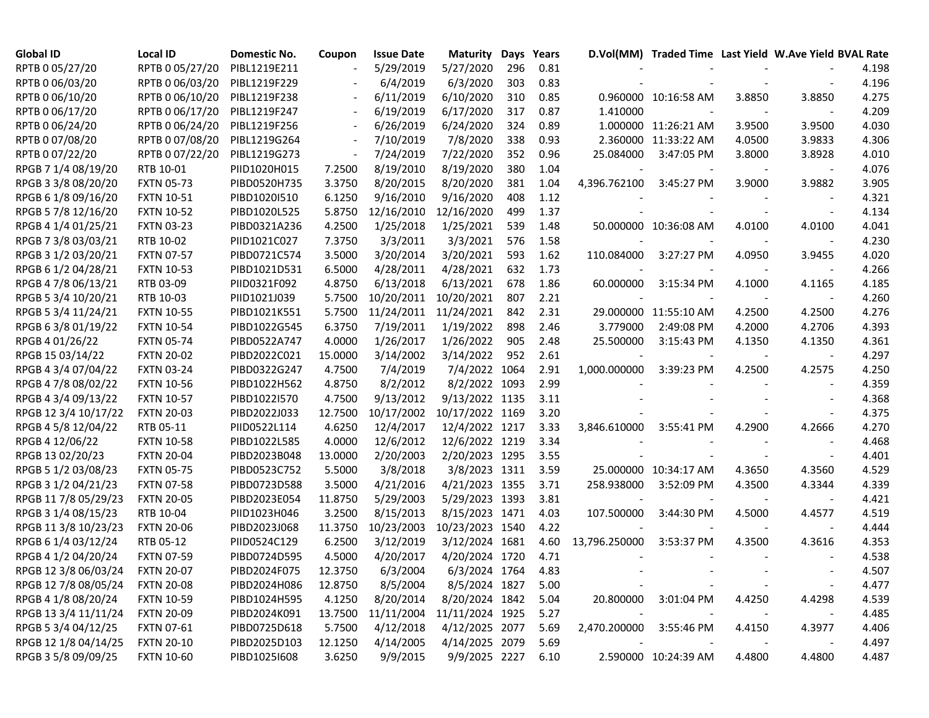| RPTB 0 05/27/20<br>RPTB 0 05/27/20<br>PIBL1219E211<br>5/29/2019<br>5/27/2020<br>296<br>0.81<br>0.83<br>RPTB 0 06/03/20<br>RPTB 0 06/03/20<br>PIBL1219F229<br>6/4/2019<br>6/3/2020<br>303<br>6/10/2020<br>0.85<br>RPTB 0 06/10/20<br>RPTB 0 06/10/20<br>PIBL1219F238<br>6/11/2019<br>310<br>0.960000 10:16:58 AM<br>3.8850<br>3.8850<br>0.87<br>RPTB 0 06/17/20<br>RPTB 0 06/17/20<br>PIBL1219F247<br>6/19/2019<br>6/17/2020<br>317<br>1.410000<br>$\blacksquare$<br>RPTB 0 06/24/20<br>RPTB 0 06/24/20<br>PIBL1219F256<br>6/26/2019<br>6/24/2020<br>324<br>0.89<br>1.000000 11:26:21 AM<br>3.9500<br>3.9500<br>$\overline{\phantom{a}}$<br>RPTB 0 07/08/20<br>RPTB 0 07/08/20<br>7/10/2019<br>7/8/2020<br>PIBL1219G264<br>338<br>0.93<br>2.360000 11:33:22 AM<br>4.0500<br>3.9833<br>$\blacksquare$<br>3.8000<br>$\overline{\phantom{a}}$ | 4.198<br>4.196<br>4.275<br>4.209<br>4.030<br>4.306<br>4.010<br>0.96<br>25.084000<br>3:47:05 PM<br>3.8928<br>4.076<br>1.04<br>3.905<br>1.04<br>3.9882<br>4,396.762100<br>3:45:27 PM<br>3.9000<br>4.321<br>1.12<br>1.37<br>4.134 |  |     |           |           |              |                 |                 |
|-------------------------------------------------------------------------------------------------------------------------------------------------------------------------------------------------------------------------------------------------------------------------------------------------------------------------------------------------------------------------------------------------------------------------------------------------------------------------------------------------------------------------------------------------------------------------------------------------------------------------------------------------------------------------------------------------------------------------------------------------------------------------------------------------------------------------------------------|--------------------------------------------------------------------------------------------------------------------------------------------------------------------------------------------------------------------------------|--|-----|-----------|-----------|--------------|-----------------|-----------------|
|                                                                                                                                                                                                                                                                                                                                                                                                                                                                                                                                                                                                                                                                                                                                                                                                                                           |                                                                                                                                                                                                                                |  |     |           |           |              |                 |                 |
|                                                                                                                                                                                                                                                                                                                                                                                                                                                                                                                                                                                                                                                                                                                                                                                                                                           |                                                                                                                                                                                                                                |  |     |           |           |              |                 |                 |
|                                                                                                                                                                                                                                                                                                                                                                                                                                                                                                                                                                                                                                                                                                                                                                                                                                           |                                                                                                                                                                                                                                |  |     |           |           |              |                 |                 |
|                                                                                                                                                                                                                                                                                                                                                                                                                                                                                                                                                                                                                                                                                                                                                                                                                                           |                                                                                                                                                                                                                                |  |     |           |           |              |                 |                 |
|                                                                                                                                                                                                                                                                                                                                                                                                                                                                                                                                                                                                                                                                                                                                                                                                                                           |                                                                                                                                                                                                                                |  |     |           |           |              |                 |                 |
|                                                                                                                                                                                                                                                                                                                                                                                                                                                                                                                                                                                                                                                                                                                                                                                                                                           |                                                                                                                                                                                                                                |  |     |           |           |              |                 |                 |
|                                                                                                                                                                                                                                                                                                                                                                                                                                                                                                                                                                                                                                                                                                                                                                                                                                           |                                                                                                                                                                                                                                |  | 352 | 7/22/2020 | 7/24/2019 | PIBL1219G273 | RPTB 0 07/22/20 | RPTB 0 07/22/20 |
| RPGB 7 1/4 08/19/20<br>8/19/2010<br>8/19/2020<br>RTB 10-01<br>PIID1020H015<br>380<br>7.2500                                                                                                                                                                                                                                                                                                                                                                                                                                                                                                                                                                                                                                                                                                                                               |                                                                                                                                                                                                                                |  |     |           |           |              |                 |                 |
| <b>FXTN 05-73</b><br>8/20/2015<br>8/20/2020<br>RPGB 3 3/8 08/20/20<br>PIBD0520H735<br>3.3750<br>381                                                                                                                                                                                                                                                                                                                                                                                                                                                                                                                                                                                                                                                                                                                                       |                                                                                                                                                                                                                                |  |     |           |           |              |                 |                 |
| 9/16/2010<br>9/16/2020<br>RPGB 6 1/8 09/16/20<br><b>FXTN 10-51</b><br>PIBD1020I510<br>6.1250<br>408                                                                                                                                                                                                                                                                                                                                                                                                                                                                                                                                                                                                                                                                                                                                       |                                                                                                                                                                                                                                |  |     |           |           |              |                 |                 |
| 12/16/2020<br>RPGB 5 7/8 12/16/20<br><b>FXTN 10-52</b><br>PIBD1020L525<br>5.8750<br>12/16/2010<br>499                                                                                                                                                                                                                                                                                                                                                                                                                                                                                                                                                                                                                                                                                                                                     |                                                                                                                                                                                                                                |  |     |           |           |              |                 |                 |
| 1/25/2018<br>1/25/2021<br>RPGB 4 1/4 01/25/21<br><b>FXTN 03-23</b><br>PIBD0321A236<br>4.2500<br>539<br>1.48<br>50.000000 10:36:08 AM<br>4.0100<br>4.0100                                                                                                                                                                                                                                                                                                                                                                                                                                                                                                                                                                                                                                                                                  | 4.041                                                                                                                                                                                                                          |  |     |           |           |              |                 |                 |
| 3/3/2011<br>3/3/2021<br>RPGB 7 3/8 03/03/21<br>RTB 10-02<br>PIID1021C027<br>7.3750<br>576<br>1.58                                                                                                                                                                                                                                                                                                                                                                                                                                                                                                                                                                                                                                                                                                                                         | 4.230                                                                                                                                                                                                                          |  |     |           |           |              |                 |                 |
| 3/20/2014<br>3/20/2021<br>593<br>RPGB 3 1/2 03/20/21<br><b>FXTN 07-57</b><br>PIBD0721C574<br>3.5000<br>1.62<br>110.084000<br>4.0950<br>3:27:27 PM<br>3.9455                                                                                                                                                                                                                                                                                                                                                                                                                                                                                                                                                                                                                                                                               | 4.020                                                                                                                                                                                                                          |  |     |           |           |              |                 |                 |
| 4/28/2021<br>632<br>RPGB 6 1/2 04/28/21<br><b>FXTN 10-53</b><br>PIBD1021D531<br>6.5000<br>4/28/2011<br>1.73                                                                                                                                                                                                                                                                                                                                                                                                                                                                                                                                                                                                                                                                                                                               | 4.266                                                                                                                                                                                                                          |  |     |           |           |              |                 |                 |
| RPGB 4 7/8 06/13/21<br>RTB 03-09<br>PIID0321F092<br>4.8750<br>6/13/2018<br>6/13/2021<br>678<br>1.86<br>60.000000<br>3:15:34 PM<br>4.1000<br>4.1165                                                                                                                                                                                                                                                                                                                                                                                                                                                                                                                                                                                                                                                                                        | 4.185                                                                                                                                                                                                                          |  |     |           |           |              |                 |                 |
| RPGB 5 3/4 10/20/21<br>2.21<br>RTB 10-03<br>PIID1021J039<br>5.7500<br>10/20/2011<br>10/20/2021<br>807                                                                                                                                                                                                                                                                                                                                                                                                                                                                                                                                                                                                                                                                                                                                     | 4.260                                                                                                                                                                                                                          |  |     |           |           |              |                 |                 |
| 2.31<br>RPGB 5 3/4 11/24/21<br><b>FXTN 10-55</b><br>PIBD1021K551<br>5.7500<br>11/24/2011<br>11/24/2021<br>842<br>29.000000 11:55:10 AM<br>4.2500<br>4.2500                                                                                                                                                                                                                                                                                                                                                                                                                                                                                                                                                                                                                                                                                | 4.276                                                                                                                                                                                                                          |  |     |           |           |              |                 |                 |
| 1/19/2022<br>RPGB 63/801/19/22<br><b>FXTN 10-54</b><br>PIBD1022G545<br>6.3750<br>7/19/2011<br>898<br>2.46<br>3.779000<br>2:49:08 PM<br>4.2000<br>4.2706                                                                                                                                                                                                                                                                                                                                                                                                                                                                                                                                                                                                                                                                                   | 4.393                                                                                                                                                                                                                          |  |     |           |           |              |                 |                 |
| RPGB 4 01/26/22<br>1/26/2017<br>1/26/2022<br>2.48<br><b>FXTN 05-74</b><br>PIBD0522A747<br>4.0000<br>905<br>25.500000<br>3:15:43 PM<br>4.1350<br>4.1350                                                                                                                                                                                                                                                                                                                                                                                                                                                                                                                                                                                                                                                                                    | 4.361                                                                                                                                                                                                                          |  |     |           |           |              |                 |                 |
| RPGB 15 03/14/22<br><b>FXTN 20-02</b><br>PIBD2022C021<br>15.0000<br>3/14/2002<br>3/14/2022<br>952<br>2.61                                                                                                                                                                                                                                                                                                                                                                                                                                                                                                                                                                                                                                                                                                                                 | 4.297                                                                                                                                                                                                                          |  |     |           |           |              |                 |                 |
| RPGB 4 3/4 07/04/22<br><b>FXTN 03-24</b><br>PIBD0322G247<br>7/4/2019<br>7/4/2022 1064<br>2.91<br>1,000.000000<br>3:39:23 PM<br>4.2575<br>4.7500<br>4.2500                                                                                                                                                                                                                                                                                                                                                                                                                                                                                                                                                                                                                                                                                 | 4.250                                                                                                                                                                                                                          |  |     |           |           |              |                 |                 |
| 8/2/2022 1093<br>2.99<br>RPGB 4 7/8 08/02/22<br><b>FXTN 10-56</b><br>PIBD1022H562<br>4.8750<br>8/2/2012                                                                                                                                                                                                                                                                                                                                                                                                                                                                                                                                                                                                                                                                                                                                   | 4.359                                                                                                                                                                                                                          |  |     |           |           |              |                 |                 |
| 9/13/2022 1135<br>3.11<br>RPGB 4 3/4 09/13/22<br><b>FXTN 10-57</b><br>PIBD1022I570<br>4.7500<br>9/13/2012                                                                                                                                                                                                                                                                                                                                                                                                                                                                                                                                                                                                                                                                                                                                 | 4.368                                                                                                                                                                                                                          |  |     |           |           |              |                 |                 |
| 10/17/2022 1169<br>RPGB 12 3/4 10/17/22<br><b>FXTN 20-03</b><br>PIBD2022J033<br>12.7500<br>10/17/2002<br>3.20                                                                                                                                                                                                                                                                                                                                                                                                                                                                                                                                                                                                                                                                                                                             | 4.375                                                                                                                                                                                                                          |  |     |           |           |              |                 |                 |
| RPGB 4 5/8 12/04/22<br>RTB 05-11<br>PIID0522L114<br>4.6250<br>12/4/2017<br>12/4/2022 1217<br>3.33<br>3,846.610000<br>3:55:41 PM<br>4.2900<br>4.2666                                                                                                                                                                                                                                                                                                                                                                                                                                                                                                                                                                                                                                                                                       | 4.270                                                                                                                                                                                                                          |  |     |           |           |              |                 |                 |
| 3.34<br>RPGB 4 12/06/22<br><b>FXTN 10-58</b><br>PIBD1022L585<br>4.0000<br>12/6/2012<br>12/6/2022 1219                                                                                                                                                                                                                                                                                                                                                                                                                                                                                                                                                                                                                                                                                                                                     | 4.468                                                                                                                                                                                                                          |  |     |           |           |              |                 |                 |
| RPGB 13 02/20/23<br><b>FXTN 20-04</b><br>PIBD2023B048<br>13.0000<br>2/20/2003<br>2/20/2023 1295<br>3.55                                                                                                                                                                                                                                                                                                                                                                                                                                                                                                                                                                                                                                                                                                                                   | 4.401                                                                                                                                                                                                                          |  |     |           |           |              |                 |                 |
| RPGB 5 1/2 03/08/23<br><b>FXTN 05-75</b><br>PIBD0523C752<br>5.5000<br>3/8/2018<br>3/8/2023 1311<br>3.59<br>25.000000 10:34:17 AM<br>4.3650<br>4.3560                                                                                                                                                                                                                                                                                                                                                                                                                                                                                                                                                                                                                                                                                      | 4.529                                                                                                                                                                                                                          |  |     |           |           |              |                 |                 |
| RPGB 3 1/2 04/21/23<br><b>FXTN 07-58</b><br>PIBD0723D588<br>3.5000<br>4/21/2016<br>4/21/2023 1355<br>3.71<br>258.938000<br>3:52:09 PM<br>4.3500<br>4.3344                                                                                                                                                                                                                                                                                                                                                                                                                                                                                                                                                                                                                                                                                 | 4.339                                                                                                                                                                                                                          |  |     |           |           |              |                 |                 |
| RPGB 11 7/8 05/29/23<br>5/29/2003<br>5/29/2023 1393<br><b>FXTN 20-05</b><br>PIBD2023E054<br>11.8750<br>3.81                                                                                                                                                                                                                                                                                                                                                                                                                                                                                                                                                                                                                                                                                                                               | 4.421                                                                                                                                                                                                                          |  |     |           |           |              |                 |                 |
| 8/15/2023 1471<br>RPGB 3 1/4 08/15/23<br>RTB 10-04<br>PIID1023H046<br>3.2500<br>8/15/2013<br>4.03<br>107.500000<br>3:44:30 PM<br>4.5000<br>4.4577                                                                                                                                                                                                                                                                                                                                                                                                                                                                                                                                                                                                                                                                                         | 4.519                                                                                                                                                                                                                          |  |     |           |           |              |                 |                 |
| 10/23/2023 1540<br>RPGB 11 3/8 10/23/23<br><b>FXTN 20-06</b><br>PIBD2023J068<br>11.3750<br>10/23/2003<br>4.22                                                                                                                                                                                                                                                                                                                                                                                                                                                                                                                                                                                                                                                                                                                             | 4.444                                                                                                                                                                                                                          |  |     |           |           |              |                 |                 |
| 3/12/2019<br>RPGB 6 1/4 03/12/24<br>RTB 05-12<br>PIID0524C129<br>6.2500<br>3/12/2024 1681<br>4.60<br>13,796.250000<br>3:53:37 PM<br>4.3500<br>4.3616                                                                                                                                                                                                                                                                                                                                                                                                                                                                                                                                                                                                                                                                                      | 4.353                                                                                                                                                                                                                          |  |     |           |           |              |                 |                 |
| 4.5000<br>4/20/2017<br>4.71<br>RPGB 4 1/2 04/20/24<br><b>FXTN 07-59</b><br>PIBD0724D595<br>4/20/2024 1720                                                                                                                                                                                                                                                                                                                                                                                                                                                                                                                                                                                                                                                                                                                                 | 4.538                                                                                                                                                                                                                          |  |     |           |           |              |                 |                 |
| RPGB 12 3/8 06/03/24<br>PIBD2024F075<br>6/3/2024 1764<br><b>FXTN 20-07</b><br>12.3750<br>6/3/2004<br>4.83                                                                                                                                                                                                                                                                                                                                                                                                                                                                                                                                                                                                                                                                                                                                 | 4.507                                                                                                                                                                                                                          |  |     |           |           |              |                 |                 |
| RPGB 12 7/8 08/05/24<br>8/5/2004<br>8/5/2024 1827<br>PIBD2024H086<br>12.8750<br>5.00<br><b>FXTN 20-08</b>                                                                                                                                                                                                                                                                                                                                                                                                                                                                                                                                                                                                                                                                                                                                 | 4.477                                                                                                                                                                                                                          |  |     |           |           |              |                 |                 |
| RPGB 4 1/8 08/20/24<br>8/20/2014<br>8/20/2024 1842<br><b>FXTN 10-59</b><br>PIBD1024H595<br>4.1250<br>5.04<br>20.800000<br>3:01:04 PM<br>4.4250<br>4.4298                                                                                                                                                                                                                                                                                                                                                                                                                                                                                                                                                                                                                                                                                  | 4.539                                                                                                                                                                                                                          |  |     |           |           |              |                 |                 |
| RPGB 13 3/4 11/11/24<br>11/11/2024 1925<br><b>FXTN 20-09</b><br>PIBD2024K091<br>13.7500<br>11/11/2004<br>5.27                                                                                                                                                                                                                                                                                                                                                                                                                                                                                                                                                                                                                                                                                                                             | 4.485                                                                                                                                                                                                                          |  |     |           |           |              |                 |                 |
| RPGB 5 3/4 04/12/25<br><b>FXTN 07-61</b><br>PIBD0725D618<br>5.7500<br>4/12/2018<br>4/12/2025 2077<br>5.69<br>2,470.200000<br>3:55:46 PM<br>4.4150<br>4.3977                                                                                                                                                                                                                                                                                                                                                                                                                                                                                                                                                                                                                                                                               | 4.406                                                                                                                                                                                                                          |  |     |           |           |              |                 |                 |
| RPGB 12 1/8 04/14/25<br>4/14/2005<br>4/14/2025 2079<br><b>FXTN 20-10</b><br>PIBD2025D103<br>12.1250<br>5.69                                                                                                                                                                                                                                                                                                                                                                                                                                                                                                                                                                                                                                                                                                                               | 4.497                                                                                                                                                                                                                          |  |     |           |           |              |                 |                 |
| RPGB 3 5/8 09/09/25<br>9/9/2025 2227<br><b>FXTN 10-60</b><br>PIBD1025I608<br>9/9/2015<br>6.10<br>4.4800<br>3.6250<br>2.590000 10:24:39 AM<br>4.4800                                                                                                                                                                                                                                                                                                                                                                                                                                                                                                                                                                                                                                                                                       | 4.487                                                                                                                                                                                                                          |  |     |           |           |              |                 |                 |